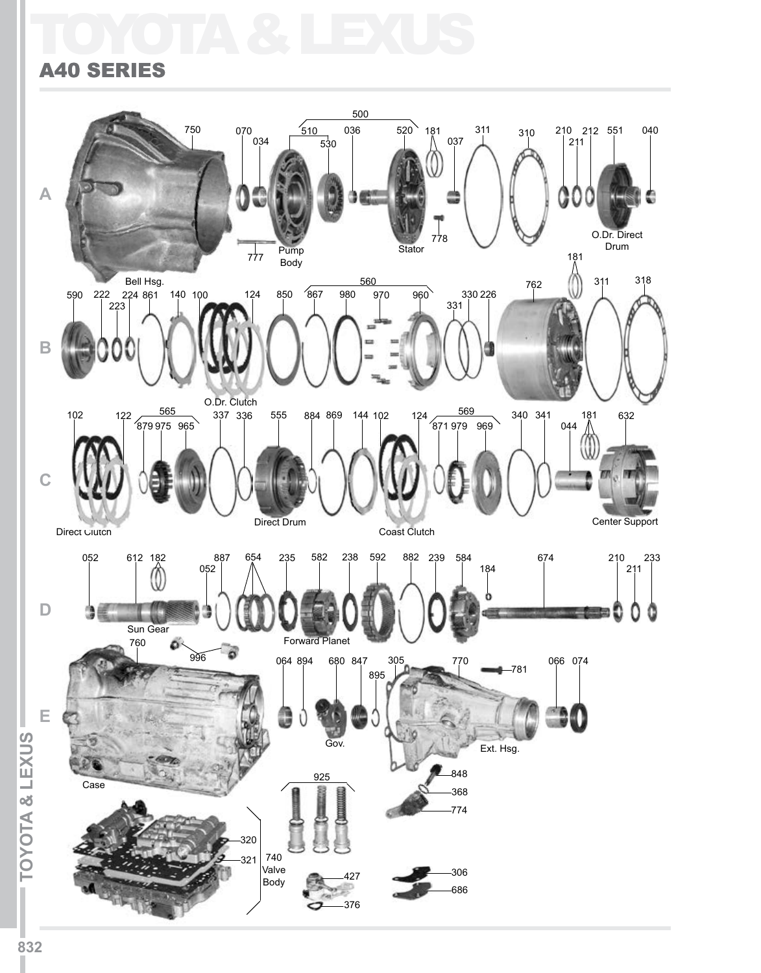## A40 Series SERIESTOYOTA & LEXUS

#### 500 750 070  $510$  $036$   $520$  181 212 551 040 311 310 210 034 037 211 530 **A** O.Dr. Direct 778 Drum Pump Stator  $\bigcirc$ <sup>181</sup> 777 Body Bell Hsg. 318 560 762 311 590 222 140 100 124 850 867 980 970 960 330 226 223 331 **B** O.Dr. Clutch  $\frac{565}{337}$  337 336 555 884 869 144 102 124 340 341 181 632 569 102 122  $879975965$  $\sqrt{871979909}$ 044 **C** Direct Drum Center Support Coast Clutch Direct Clutch 052 612 182 887 654 235 582 238 592 882 239 584 674 210 233 052 184 211 0 **D** 3 U 瓍 Sun Gear Forward Planet 760 996 064 894 680 847 066 074 305 781 895 **E TOYOTA & LEXUS ITOYOTA & LEXUSI** Gov. Ext. Hsg. 848 925 Case 368 774 320 740 321 Valve 306 427 Body 686 376

L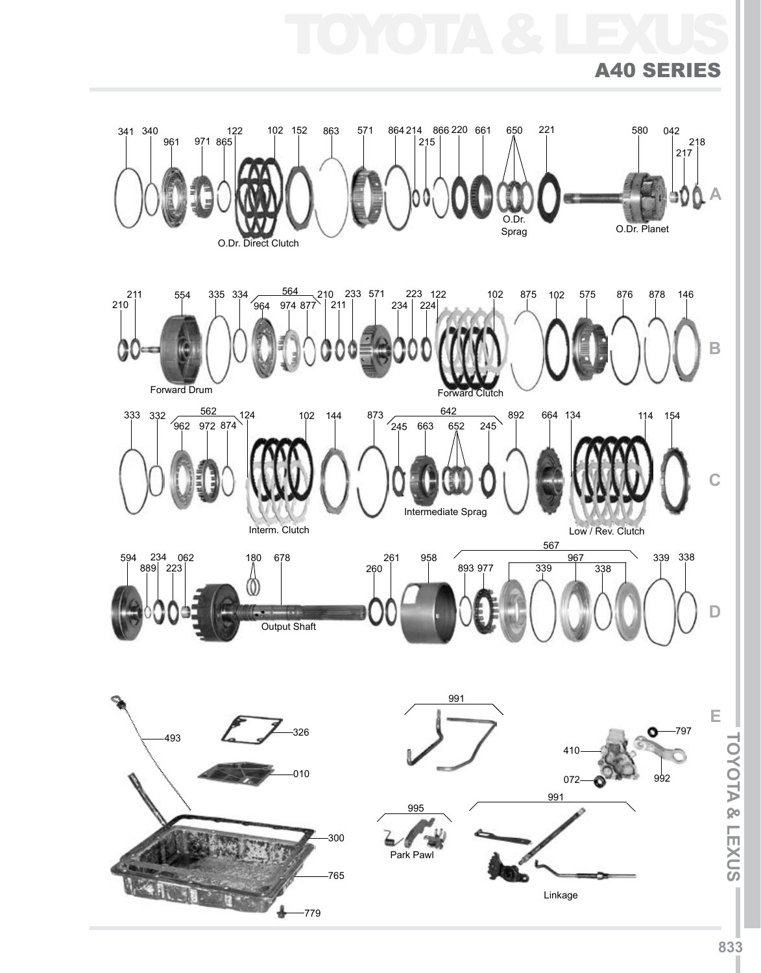

TOYOTA & LEXUS

A40 Series

**ITOYOTA & LEXUSI**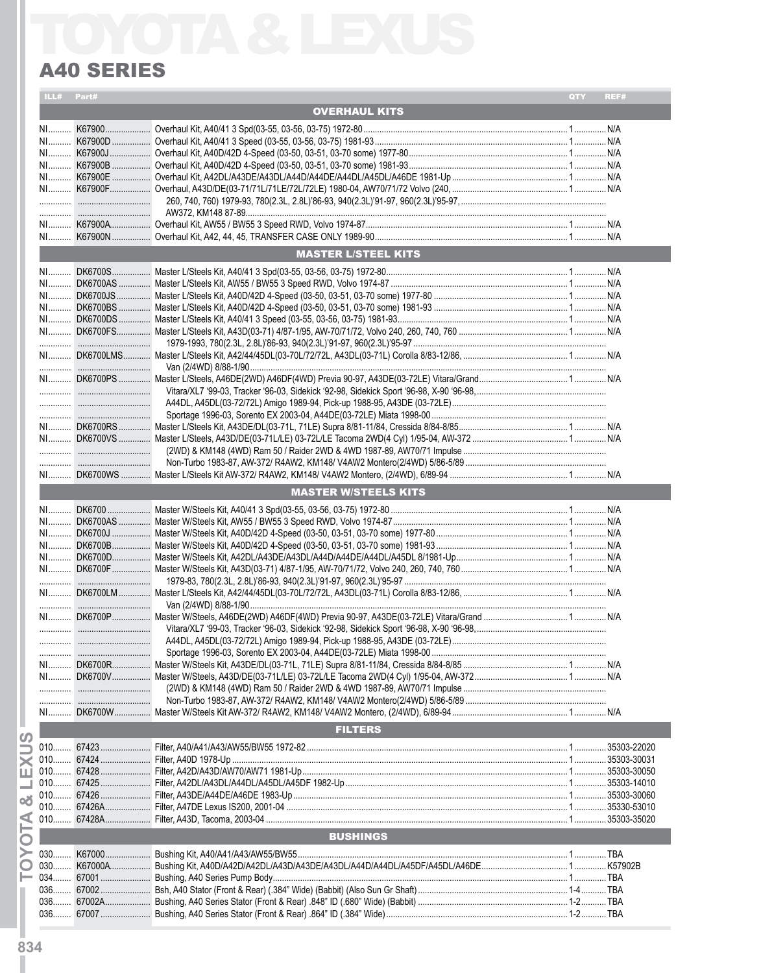| ILL# Part# |                             | QTY | REF# |
|------------|-----------------------------|-----|------|
|            | <b>OVERHAUL KITS</b>        |     |      |
|            |                             |     |      |
|            |                             |     |      |
|            |                             |     |      |
|            |                             |     |      |
|            |                             |     |      |
|            |                             |     |      |
|            |                             |     |      |
|            |                             |     |      |
|            |                             |     |      |
|            | <b>MASTER L/STEEL KITS</b>  |     |      |
|            |                             |     |      |
|            |                             |     |      |
|            |                             |     |      |
|            |                             |     |      |
|            |                             |     |      |
|            |                             |     |      |
|            |                             |     |      |
|            |                             |     |      |
|            |                             |     |      |
|            |                             |     |      |
|            |                             |     |      |
|            |                             |     |      |
|            |                             |     |      |
|            |                             |     |      |
|            |                             |     |      |
|            |                             |     |      |
|            |                             |     |      |
|            | <b>MASTER W/STEELS KITS</b> |     |      |
|            |                             |     |      |
|            |                             |     |      |
|            |                             |     |      |
|            |                             |     |      |
|            |                             |     |      |
|            |                             |     |      |
|            |                             |     |      |
|            |                             |     |      |
|            |                             |     |      |
|            |                             |     |      |
|            |                             |     |      |
|            |                             |     |      |
|            |                             |     |      |
|            |                             |     |      |
|            |                             |     |      |
|            |                             |     |      |
|            | <b>FILTERS</b>              |     |      |
|            |                             |     |      |
|            |                             |     |      |
|            |                             |     |      |
|            |                             |     |      |
|            |                             |     |      |
|            |                             |     |      |
|            |                             |     |      |
|            | <b>BUSHINGS</b>             |     |      |
|            |                             |     |      |
|            |                             |     |      |
|            |                             |     |      |
|            |                             |     |      |
|            |                             |     |      |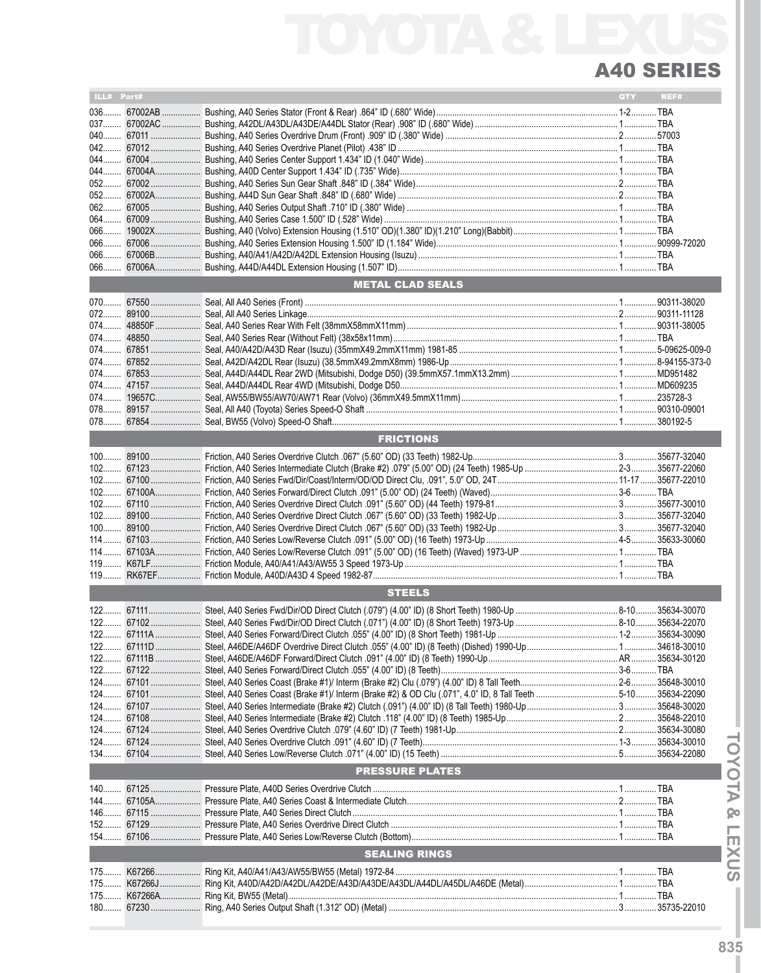| ILL# Part# |                         | QTY | REF# |
|------------|-------------------------|-----|------|
|            |                         |     |      |
|            |                         |     |      |
|            |                         |     |      |
|            |                         |     |      |
|            |                         |     |      |
|            |                         |     |      |
|            |                         |     |      |
|            |                         |     |      |
|            |                         |     |      |
|            |                         |     |      |
|            |                         |     |      |
|            |                         |     |      |
|            |                         |     |      |
|            |                         |     |      |
|            |                         |     |      |
|            | <b>METAL CLAD SEALS</b> |     |      |
|            |                         |     |      |
|            |                         |     |      |
|            |                         |     |      |
|            |                         |     |      |
|            |                         |     |      |
|            |                         |     |      |
|            |                         |     |      |
|            |                         |     |      |
|            |                         |     |      |
|            |                         |     |      |
|            |                         |     |      |
|            |                         |     |      |
|            | <b>FRICTIONS</b>        |     |      |
|            |                         |     |      |
|            |                         |     |      |
|            |                         |     |      |
|            |                         |     |      |
|            |                         |     |      |
|            |                         |     |      |
|            |                         |     |      |
|            |                         |     |      |
|            |                         |     |      |
|            |                         |     |      |
|            |                         |     |      |
|            | <b>STEELS</b>           |     |      |
|            |                         |     |      |
|            |                         |     |      |
|            |                         |     |      |
|            |                         |     |      |
|            |                         |     |      |
|            |                         |     |      |
|            |                         |     |      |
|            |                         |     |      |
|            |                         |     |      |
|            |                         |     |      |
|            |                         |     |      |
|            |                         |     |      |
|            |                         |     |      |
|            |                         |     |      |
|            | <b>PRESSURE PLATES</b>  |     |      |
|            |                         |     |      |
|            |                         |     |      |
|            |                         |     |      |
|            |                         |     |      |
|            |                         |     |      |
|            | <b>SEALING RINGS</b>    |     |      |
|            |                         |     |      |
| 175        |                         |     |      |
|            |                         |     |      |
|            |                         |     |      |
|            |                         |     |      |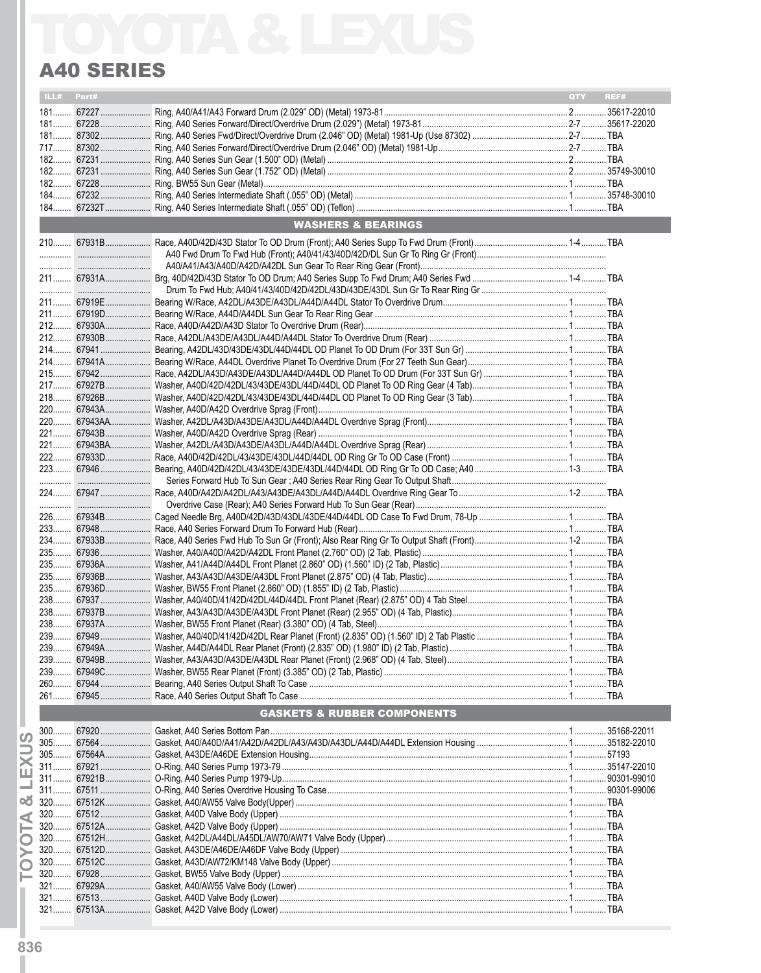| ILL# Part# |                                        | QTY | REF# |
|------------|----------------------------------------|-----|------|
|            |                                        |     |      |
|            |                                        |     |      |
|            |                                        |     |      |
|            |                                        |     |      |
|            |                                        |     |      |
|            |                                        |     |      |
|            |                                        |     |      |
|            |                                        |     |      |
|            | <b>WASHERS &amp; BEARINGS</b>          |     |      |
|            |                                        |     |      |
|            |                                        |     |      |
|            |                                        |     |      |
|            |                                        |     |      |
|            |                                        |     |      |
|            |                                        |     |      |
|            |                                        |     |      |
|            |                                        |     |      |
|            |                                        |     |      |
|            |                                        |     |      |
|            |                                        |     |      |
|            |                                        |     |      |
|            |                                        |     |      |
|            |                                        |     |      |
|            |                                        |     |      |
|            |                                        |     |      |
|            |                                        |     |      |
|            |                                        |     |      |
|            |                                        |     |      |
|            |                                        |     |      |
|            |                                        |     |      |
|            |                                        |     |      |
|            |                                        |     |      |
|            |                                        |     |      |
|            |                                        |     |      |
|            |                                        |     |      |
|            |                                        |     |      |
|            |                                        |     |      |
|            |                                        |     |      |
|            |                                        |     |      |
|            |                                        |     |      |
|            |                                        |     |      |
|            |                                        |     |      |
|            |                                        |     |      |
|            |                                        |     |      |
|            | <b>GASKETS &amp; RUBBER COMPONENTS</b> |     |      |
|            |                                        |     |      |
|            |                                        |     |      |
|            |                                        |     |      |
|            |                                        |     |      |
|            |                                        |     |      |
|            |                                        |     |      |
|            |                                        |     |      |
|            |                                        |     |      |
|            |                                        |     |      |
|            |                                        |     |      |
|            |                                        |     |      |
|            |                                        |     |      |
|            |                                        |     |      |
|            |                                        |     |      |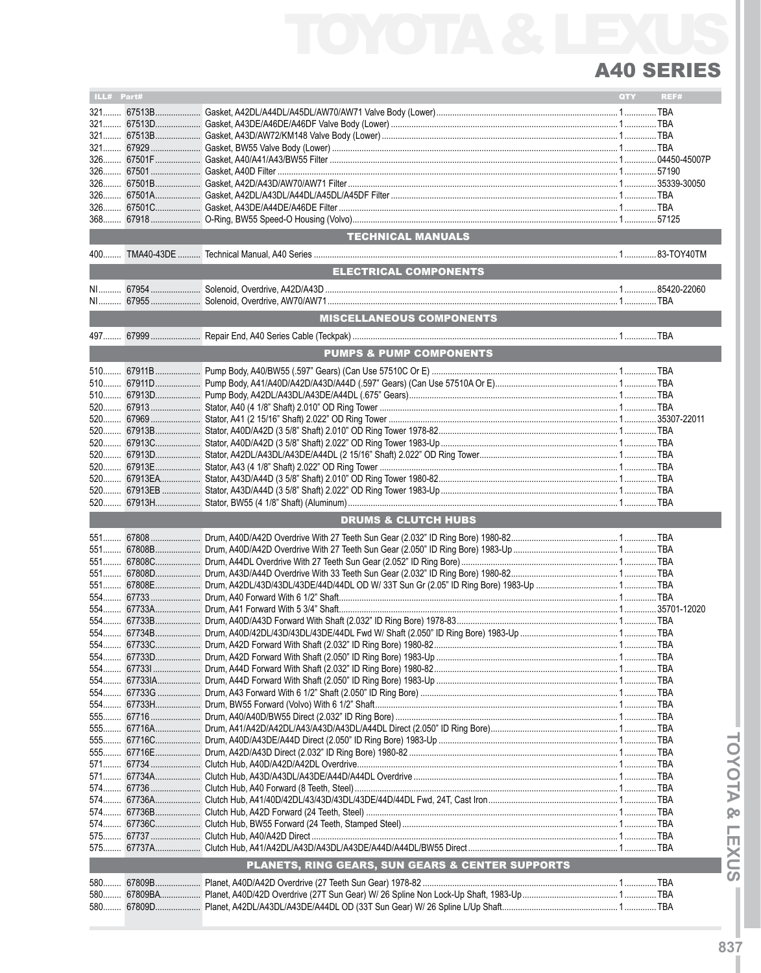| ILL# Part# |            |                                                  | <b>QTY</b> | REF# |
|------------|------------|--------------------------------------------------|------------|------|
|            | 321 67513B |                                                  |            |      |
|            |            |                                                  |            |      |
|            |            |                                                  |            |      |
|            |            |                                                  |            |      |
|            |            |                                                  |            |      |
|            |            |                                                  |            |      |
|            |            |                                                  |            |      |
|            |            |                                                  |            |      |
|            |            |                                                  |            |      |
|            |            |                                                  |            |      |
|            |            |                                                  |            |      |
|            |            |                                                  |            |      |
|            |            |                                                  |            |      |
|            |            | TECHNICAL MANUALS                                |            |      |
|            |            |                                                  |            |      |
| 400        |            |                                                  |            |      |
|            |            | <b>ELECTRICAL COMPONENTS</b>                     |            |      |
|            |            |                                                  |            |      |
|            |            |                                                  |            |      |
|            |            |                                                  |            |      |
|            |            |                                                  |            |      |
|            |            | <b>MISCELLANEOUS COMPONENTS</b>                  |            |      |
|            |            |                                                  |            |      |
|            |            |                                                  |            |      |
|            |            | <b>PUMPS &amp; PUMP COMPONENTS</b>               |            |      |
|            |            |                                                  |            |      |
|            |            |                                                  |            |      |
|            |            |                                                  |            |      |
|            |            |                                                  |            |      |
|            |            |                                                  |            |      |
|            |            |                                                  |            |      |
|            |            |                                                  |            |      |
|            |            |                                                  |            |      |
|            |            |                                                  |            |      |
|            |            |                                                  |            |      |
|            |            |                                                  |            |      |
|            |            |                                                  |            |      |
|            |            |                                                  |            |      |
|            |            |                                                  |            |      |
|            |            |                                                  |            |      |
|            |            |                                                  |            |      |
|            |            | <b>DRUMS &amp; CLUTCH HUBS</b>                   |            |      |
|            |            |                                                  |            |      |
|            |            |                                                  |            |      |
|            |            |                                                  |            |      |
|            |            |                                                  |            |      |
|            |            |                                                  |            |      |
|            |            |                                                  |            |      |
|            |            |                                                  |            |      |
|            |            |                                                  |            |      |
|            |            |                                                  |            |      |
|            |            |                                                  |            |      |
|            |            |                                                  |            |      |
|            |            |                                                  |            |      |
|            |            |                                                  |            |      |
|            |            |                                                  |            |      |
|            |            |                                                  |            |      |
| 554………     | 677331     |                                                  |            |      |
|            |            |                                                  |            |      |
|            |            |                                                  |            |      |
|            |            |                                                  |            |      |
|            |            |                                                  |            |      |
|            |            |                                                  |            |      |
| 555        |            |                                                  |            |      |
|            |            |                                                  |            |      |
|            |            |                                                  |            |      |
|            |            |                                                  |            |      |
|            |            |                                                  |            |      |
|            |            |                                                  |            |      |
|            |            |                                                  |            |      |
|            |            |                                                  |            |      |
|            |            |                                                  |            |      |
| 574        |            |                                                  |            |      |
|            |            |                                                  |            |      |
|            |            |                                                  |            |      |
|            |            |                                                  |            |      |
|            |            |                                                  |            |      |
|            |            | PLANETS, RING GEARS, SUN GEARS & CENTER SUPPORTS |            |      |
|            |            |                                                  |            |      |
| 580        |            |                                                  |            |      |
| 580        |            |                                                  |            |      |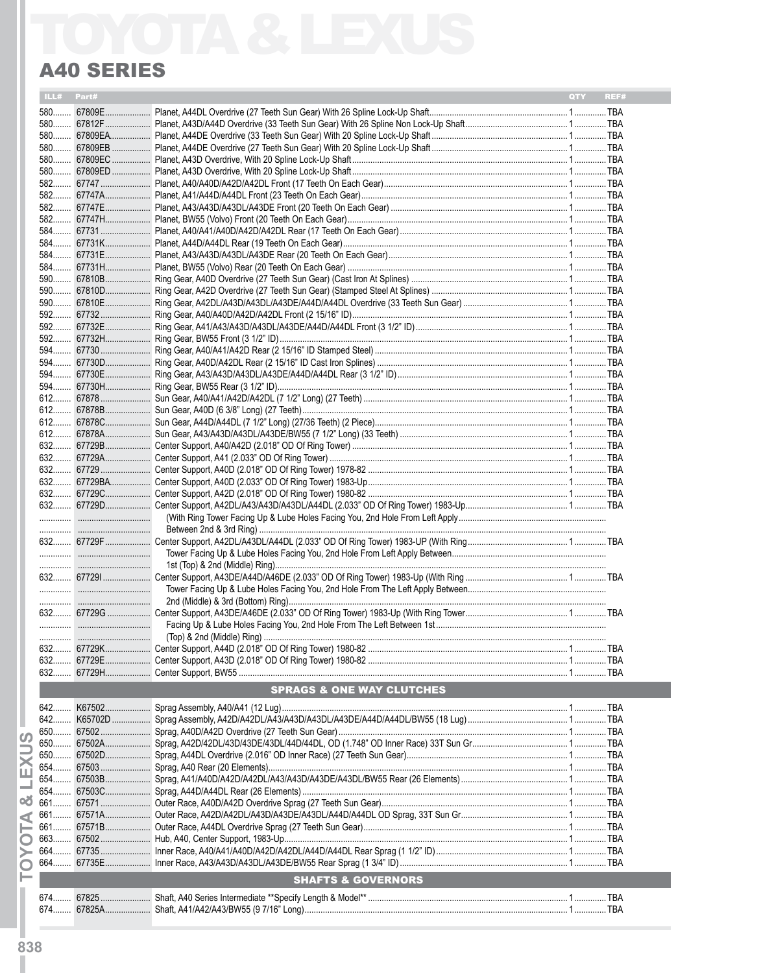| ILL# Part# |        |                                                         | QTY | REF#       |
|------------|--------|---------------------------------------------------------|-----|------------|
|            |        |                                                         |     |            |
|            |        |                                                         |     |            |
|            |        |                                                         |     |            |
|            |        |                                                         |     |            |
|            |        |                                                         |     |            |
|            |        |                                                         |     |            |
|            |        |                                                         |     |            |
|            |        |                                                         |     |            |
|            |        |                                                         |     |            |
|            |        |                                                         |     |            |
|            |        |                                                         |     |            |
|            |        |                                                         |     |            |
|            |        |                                                         |     |            |
|            |        |                                                         |     |            |
|            |        |                                                         |     |            |
|            |        |                                                         |     |            |
|            |        |                                                         |     |            |
|            |        |                                                         |     |            |
|            |        |                                                         |     |            |
|            |        |                                                         |     |            |
|            |        |                                                         |     |            |
|            |        |                                                         |     |            |
|            |        |                                                         |     |            |
|            |        |                                                         |     |            |
|            |        |                                                         |     |            |
|            |        |                                                         |     |            |
|            |        |                                                         |     |            |
|            |        |                                                         |     |            |
|            |        |                                                         |     |            |
|            |        |                                                         |     |            |
|            |        |                                                         |     |            |
|            |        |                                                         |     |            |
|            |        |                                                         |     |            |
|            |        |                                                         |     |            |
|            |        |                                                         |     |            |
|            |        |                                                         |     |            |
|            |        |                                                         |     |            |
|            |        |                                                         |     |            |
|            |        |                                                         |     |            |
|            |        |                                                         |     |            |
|            |        |                                                         |     |            |
|            |        |                                                         |     |            |
|            |        |                                                         |     |            |
|            |        |                                                         |     |            |
|            |        |                                                         |     |            |
|            |        |                                                         |     |            |
|            |        |                                                         |     |            |
|            |        |                                                         |     |            |
|            |        |                                                         |     |            |
|            |        |                                                         |     |            |
|            |        |                                                         |     |            |
| 632.       | 67729K | Center Support, A44D (2.018" OD Of Ring Tower) 1980-82. |     | <b>TBA</b> |
|            |        |                                                         |     |            |
|            |        |                                                         |     |            |
|            |        |                                                         |     |            |
|            |        | <b>SPRAGS &amp; ONE WAY CLUTCHES</b>                    |     |            |
|            |        |                                                         |     |            |
| 642        |        |                                                         |     |            |
|            |        |                                                         |     |            |
|            |        |                                                         |     |            |
|            |        |                                                         |     |            |
|            |        |                                                         |     |            |
|            |        |                                                         |     |            |
|            |        |                                                         |     |            |
| 654        |        |                                                         |     |            |
| 661        |        |                                                         |     |            |
|            |        |                                                         |     |            |
|            |        |                                                         |     |            |
|            |        |                                                         |     |            |
|            |        |                                                         |     |            |
|            |        |                                                         |     |            |
| 664………     |        |                                                         |     |            |
|            |        | <b>SHAFTS &amp; GOVERNORS</b>                           |     |            |
|            |        |                                                         |     |            |
|            |        |                                                         |     |            |
|            |        |                                                         |     |            |
|            |        |                                                         |     |            |

- TOYOTA & LEXUS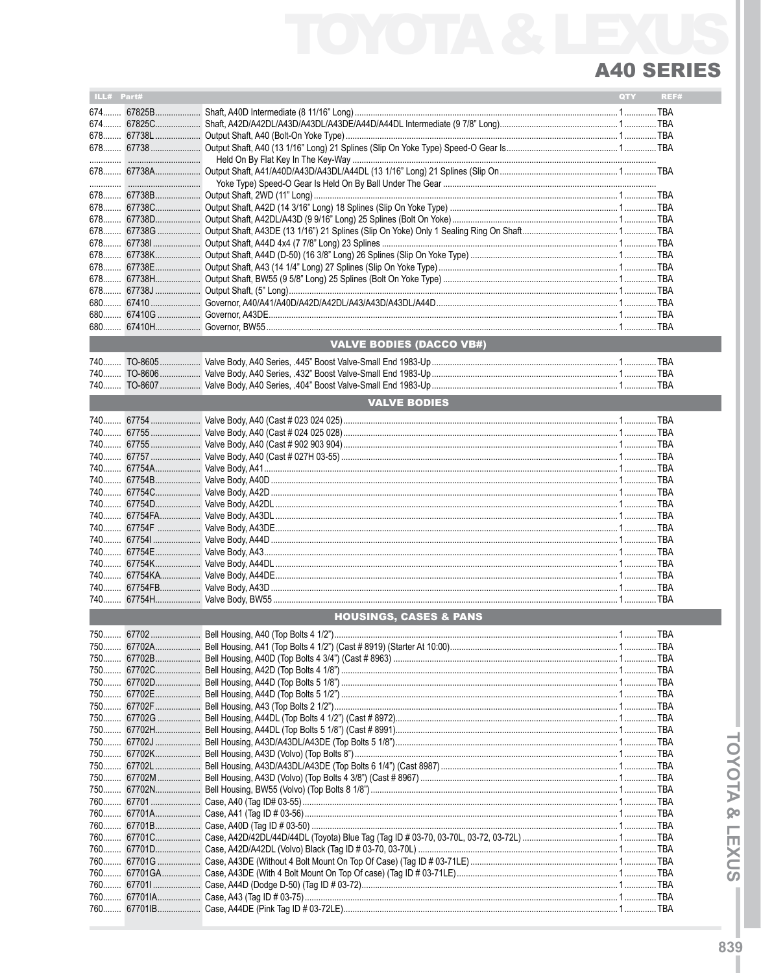| ILL# Part# |            |                                   | QTY | REF# |
|------------|------------|-----------------------------------|-----|------|
|            |            |                                   |     |      |
|            |            |                                   |     |      |
|            | 674 67825C |                                   |     |      |
|            | 678 67738L |                                   |     |      |
|            | 678 67738  |                                   |     |      |
|            |            |                                   |     |      |
|            |            |                                   |     |      |
|            |            |                                   |     |      |
|            |            |                                   |     |      |
|            | 678 67738B |                                   |     |      |
|            | 678 67738C |                                   |     |      |
|            | 678 67738D |                                   |     |      |
|            | 678 67738G |                                   |     |      |
|            | 678 677381 |                                   |     |      |
|            |            |                                   |     |      |
|            | 678 67738E |                                   |     |      |
|            |            |                                   |     |      |
| 678        |            |                                   |     |      |
|            |            |                                   |     |      |
|            |            |                                   |     |      |
|            |            |                                   |     |      |
|            |            |                                   |     |      |
|            |            | <b>VALVE BODIES (DACCO VB#)</b>   |     |      |
|            |            |                                   |     |      |
|            |            |                                   |     |      |
|            |            |                                   |     |      |
|            |            |                                   |     |      |
|            |            | <b>VALVE BODIES</b>               |     |      |
|            |            |                                   |     |      |
|            |            |                                   |     |      |
|            |            |                                   |     |      |
| $740$      |            |                                   |     |      |
|            |            |                                   |     |      |
|            |            |                                   |     |      |
| 740        |            |                                   |     |      |
|            |            |                                   |     |      |
| $740$      |            |                                   |     |      |
|            |            |                                   |     |      |
|            |            |                                   |     |      |
|            |            |                                   |     |      |
| 740        |            |                                   |     |      |
|            |            |                                   |     |      |
| $740$      |            |                                   |     |      |
|            |            |                                   |     |      |
|            |            |                                   |     |      |
|            |            |                                   |     |      |
| 740        |            |                                   |     |      |
|            |            | <b>HOUSINGS, CASES &amp; PANS</b> |     |      |
|            |            |                                   |     |      |
|            |            |                                   |     |      |
|            |            |                                   |     |      |
|            |            |                                   |     |      |
|            |            |                                   |     |      |
|            |            |                                   |     |      |
|            |            |                                   |     |      |
|            |            |                                   |     |      |
|            |            |                                   |     |      |
|            |            |                                   |     |      |
|            |            |                                   |     |      |
|            |            |                                   |     |      |
|            |            |                                   |     |      |
|            |            |                                   |     |      |
|            |            |                                   |     |      |
|            |            |                                   |     |      |
|            |            |                                   |     |      |
|            |            |                                   |     |      |
|            |            |                                   |     |      |
|            |            |                                   |     |      |
|            |            |                                   |     |      |
|            |            |                                   |     |      |
|            |            |                                   |     |      |
|            |            |                                   |     |      |
|            |            |                                   |     |      |
|            |            |                                   |     |      |
|            |            |                                   |     |      |
|            |            |                                   |     |      |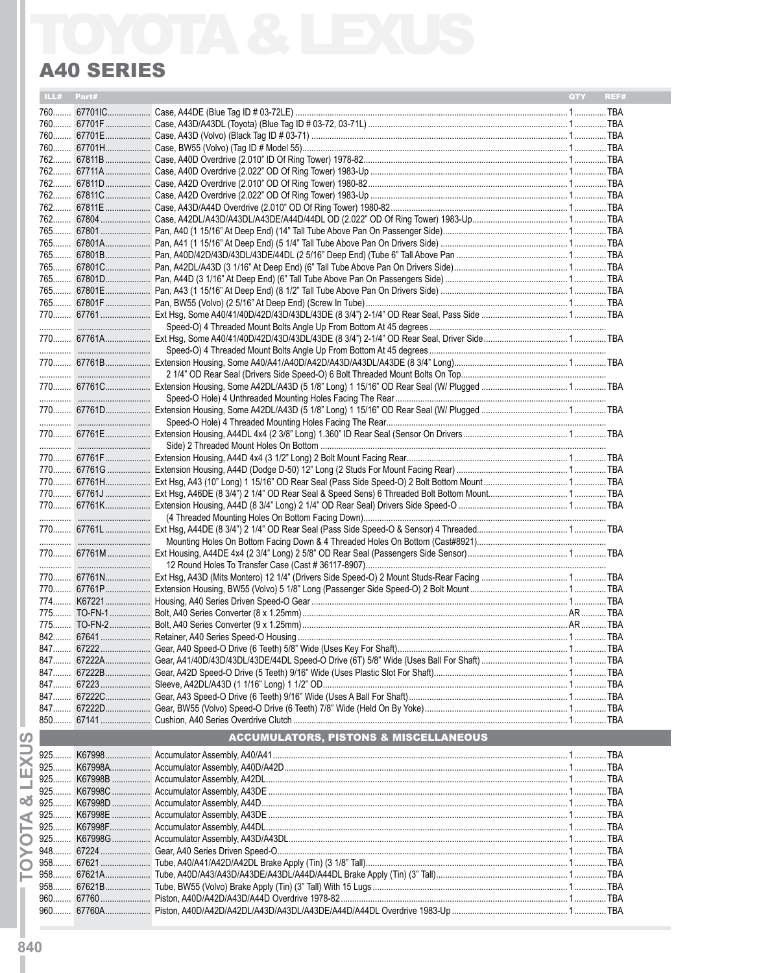| ILL# Part# |                                                  | QTY<br>REF# |
|------------|--------------------------------------------------|-------------|
|            |                                                  |             |
|            |                                                  |             |
|            |                                                  |             |
|            |                                                  |             |
|            |                                                  |             |
|            |                                                  |             |
|            |                                                  |             |
|            |                                                  |             |
|            |                                                  |             |
|            |                                                  |             |
|            |                                                  |             |
|            |                                                  |             |
|            |                                                  |             |
|            |                                                  |             |
|            |                                                  |             |
|            |                                                  |             |
|            |                                                  |             |
|            |                                                  |             |
|            |                                                  |             |
|            |                                                  |             |
|            |                                                  |             |
|            |                                                  |             |
|            |                                                  |             |
|            |                                                  |             |
|            |                                                  |             |
|            |                                                  |             |
|            |                                                  |             |
|            |                                                  |             |
|            |                                                  |             |
|            |                                                  |             |
|            |                                                  |             |
|            |                                                  |             |
|            |                                                  |             |
|            |                                                  |             |
|            |                                                  |             |
|            |                                                  |             |
|            |                                                  |             |
|            |                                                  |             |
|            |                                                  |             |
|            |                                                  |             |
|            |                                                  |             |
|            |                                                  |             |
|            |                                                  |             |
|            |                                                  |             |
|            |                                                  |             |
|            |                                                  |             |
|            |                                                  |             |
|            |                                                  |             |
|            |                                                  |             |
|            |                                                  |             |
|            |                                                  |             |
|            |                                                  |             |
|            | <b>ACCUMULATORS, PISTONS &amp; MISCELLANEOUS</b> |             |
|            |                                                  |             |
|            |                                                  |             |
|            |                                                  |             |
|            |                                                  |             |
|            |                                                  |             |
|            |                                                  |             |
|            |                                                  |             |
|            |                                                  |             |
|            |                                                  |             |
|            |                                                  |             |
|            |                                                  |             |
|            |                                                  |             |
|            |                                                  |             |
|            |                                                  |             |